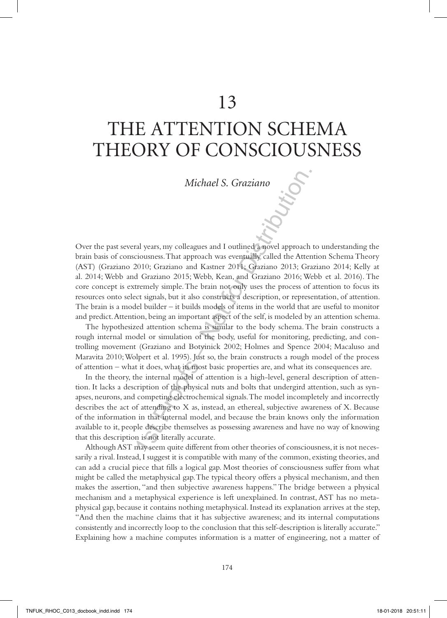# THE ATTENTION SCHEMA THEORY OF CONSCIOUSNESS

*Michael S. Graziano*

Michael S. Graziano<br>
ral years, my colleagues and I outlined a novel approach<br>
relovances. That approach was eventually called the Atter<br>
2010; Graziano 2015; Webb, Kean, and Graziano 2016; We<br>
rerenely simple. The brain n Over the past several years, my colleagues and I outlined a novel approach to understanding the brain basis of consciousness. That approach was eventually called the Attention Schema Theory (AST) (Graziano 2010; Graziano and Kastner 2011; Graziano 2013; Graziano 2014; Kelly at al. 2014; Webb and Graziano 2015; Webb, Kean, and Graziano 2016; Webb et al. 2016). The core concept is extremely simple. The brain not only uses the process of attention to focus its resources onto select signals, but it also constructs a description, or representation, of attention. The brain is a model builder – it builds models of items in the world that are useful to monitor and predict. Attention, being an important aspect of the self, is modeled by an attention schema.

The hypothesized attention schema is similar to the body schema. The brain constructs a rough internal model or simulation of the body, useful for monitoring, predicting, and controlling movement (Graziano and Botvinick 2002; Holmes and Spence 2004; Macaluso and Maravita 2010; Wolpert et al. 1995). Just so, the brain constructs a rough model of the process of attention – what it does, what its most basic properties are, and what its consequences are.

In the theory, the internal model of attention is a high-level, general description of attention. It lacks a description of the physical nuts and bolts that undergird attention, such as synapses, neurons, and competing electrochemical signals. The model incompletely and incorrectly describes the act of attending to X as, instead, an ethereal, subjective awareness of X. Because of the information in that internal model, and because the brain knows only the information available to it, people describe themselves as possessing awareness and have no way of knowing that this description is not literally accurate.

Although AST may seem quite different from other theories of consciousness, it is not necessarily a rival. Instead, I suggest it is compatible with many of the common, existing theories, and can add a crucial piece that fills a logical gap. Most theories of consciousness suffer from what might be called the metaphysical gap. The typical theory offers a physical mechanism, and then makes the assertion, "and then subjective awareness happens." The bridge between a physical mechanism and a metaphysical experience is left unexplained. In contrast, AST has no metaphysical gap, because it contains nothing metaphysical. Instead its explanation arrives at the step, "And then the machine claims that it has subjective awareness; and its internal computations consistently and incorrectly loop to the conclusion that this self-description is literally accurate." Explaining how a machine computes information is a matter of engineering, not a matter of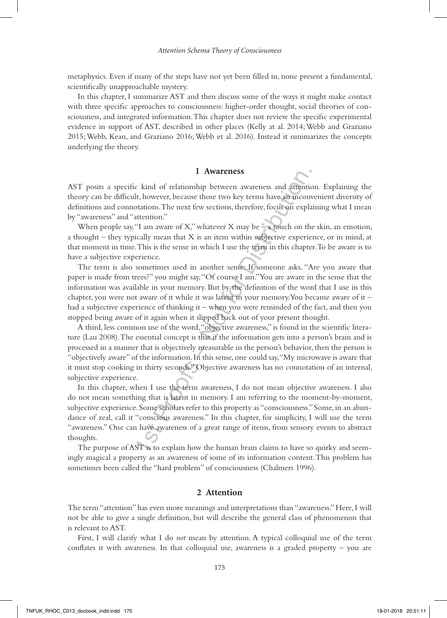metaphysics. Even if many of the steps have not yet been filled in, none present a fundamental, scientifically unapproachable mystery.

In this chapter, I summarize AST and then discuss some of the ways it might make contact with three specific approaches to consciousness: higher-order thought, social theories of consciousness, and integrated information. This chapter does not review the specific experimental evidence in support of AST, described in other places (Kelly at al. 2014; Webb and Graziano 2015; Webb, Kean, and Graziano 2016; Webb et al. 2016). Instead it summarizes the concepts underlying the theory.

## **1 Awareness**

AST posits a specific kind of relationship between awareness and attention. Explaining the theory can be difficult, however, because those two key terms have an inconvenient diversity of definitions and connotations. The next few sections, therefore, focus on explaining what I mean by "awareness" and "attention."

When people say, "I am aware of X," whatever X may be  $-$  a touch on the skin, an emotion, a thought – they typically mean that X is an item within subjective experience, or in mind, at that moment in time. This is the sense in which I use the term in this chapter. To be aware is to have a subjective experience.

The term is also sometimes used in another sense: If someone asks, "Are you aware that paper is made from trees?" you might say, "Of course I am." You are aware in the sense that the information was available in your memory. But by the definition of the word that I use in this chapter, you were not aware of it while it was latent in your memory. You became aware of it – had a subjective experience of thinking it – when you were reminded of the fact, and then you stopped being aware of it again when it slipped back out of your present thought.

1 **Awareness**<br>
1 **Awareness**<br>
1 **Awareness**<br>
1 **Awareness**<br>
1 **c**, however, because those two key terms have an incom<br>
2 that proof that for sections, therefore, focus on explant<br>
2 that and the sections, therefore, focus A third, less common use of the word, "objective awareness," is found in the scientific literature (Lau 2008). The essential concept is that if the information gets into a person's brain and is processed in a manner that is objectively measurable in the person's behavior, then the person is "objectively aware" of the information. In this sense, one could say, "My microwave is aware that it must stop cooking in thirty seconds." Objective awareness has no connotation of an internal, subjective experience.

In this chapter, when I use the term awareness, I do not mean objective awareness. I also do not mean something that is latent in memory. I am referring to the moment-by-moment, subjective experience. Some scholars refer to this property as "consciousness." Some, in an abundance of zeal, call it "conscious awareness." In this chapter, for simplicity, I will use the term "awareness." One can have awareness of a great range of items, from sensory events to abstract thoughts.

The purpose of AST is to explain how the human brain claims to have so quirky and seemingly magical a property as an awareness of some of its information content. This problem has sometimes been called the "hard problem" of consciousness (Chalmers 1996).

## **2 Attention**

The term "attention" has even more meanings and interpretations than "awareness." Here, I will not be able to give a single definition, but will describe the general class of phenomenon that is relevant to AST.

First, I will clarify what I do *not* mean by attention. A typical colloquial use of the term conflates it with awareness. In that colloquial use, awareness is a graded property – you are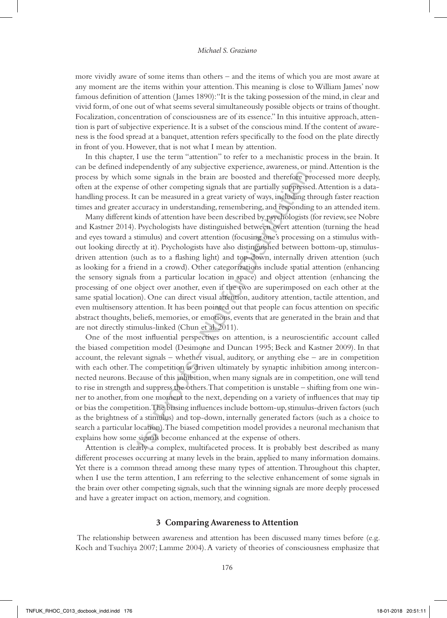more vividly aware of some items than others – and the items of which you are most aware at any moment are the items within your attention. This meaning is close to William James' now famous definition of attention (James 1890): "It is the taking possession of the mind, in clear and vivid form, of one out of what seems several simultaneously possible objects or trains of thought. Focalization, concentration of consciousness are of its essence." In this intuitive approach, attention is part of subjective experience. It is a subset of the conscious mind. If the content of awareness is the food spread at a banquet, attention refers specifically to the food on the plate directly in front of you. However, that is not what I mean by attention.

In this chapter, I use the term "attention" to refer to a mechanistic process in the brain. It can be defined independently of any subjective experience, awareness, or mind. Attention is the process by which some signals in the brain are boosted and therefore processed more deeply, often at the expense of other competing signals that are partially suppressed. Attention is a datahandling process. It can be measured in a great variety of ways, including through faster reaction times and greater accuracy in understanding, remembering, and responding to an attended item.

some signals in the brain are boosted and therefore prese of other competing signals that are partially suppresses te can be measured in a great variety of ways, including the corrary in understanding, remembering, and res Many different kinds of attention have been described by psychologists (for review, see Nobre and Kastner 2014). Psychologists have distinguished between overt attention (turning the head and eyes toward a stimulus) and covert attention (focusing one's processing on a stimulus without looking directly at it). Psychologists have also distinguished between bottom-up, stimulusdriven attention (such as to a flashing light) and top-down, internally driven attention (such as looking for a friend in a crowd). Other categorizations include spatial attention (enhancing the sensory signals from a particular location in space) and object attention (enhancing the processing of one object over another, even if the two are superimposed on each other at the same spatial location). One can direct visual attention, auditory attention, tactile attention, and even multisensory attention. It has been pointed out that people can focus attention on specific abstract thoughts, beliefs, memories, or emotions, events that are generated in the brain and that are not directly stimulus-linked (Chun et al. 2011).

One of the most influential perspectives on attention, is a neuroscientific account called the biased competition model (Desimone and Duncan 1995; Beck and Kastner 2009). In that account, the relevant signals – whether visual, auditory, or anything else – are in competition with each other. The competition is driven ultimately by synaptic inhibition among interconnected neurons. Because of this inhibition, when many signals are in competition, one will tend to rise in strength and suppress the others. That competition is unstable – shifting from one winner to another, from one moment to the next, depending on a variety of influences that may tip or bias the competition. The biasing influences include bottom-up, stimulus-driven factors (such as the brightness of a stimulus) and top-down, internally generated factors (such as a choice to search a particular location). The biased competition model provides a neuronal mechanism that explains how some signals become enhanced at the expense of others.

Attention is clearly a complex, multifaceted process. It is probably best described as many different processes occurring at many levels in the brain, applied to many information domains. Yet there is a common thread among these many types of attention. Throughout this chapter, when I use the term attention, I am referring to the selective enhancement of some signals in the brain over other competing signals, such that the winning signals are more deeply processed and have a greater impact on action, memory, and cognition.

## **3 Comparing Awareness to Attention**

 The relationship between awareness and attention has been discussed many times before (e.g. Koch and Tsuchiya 2007; Lamme 2004). A variety of theories of consciousness emphasize that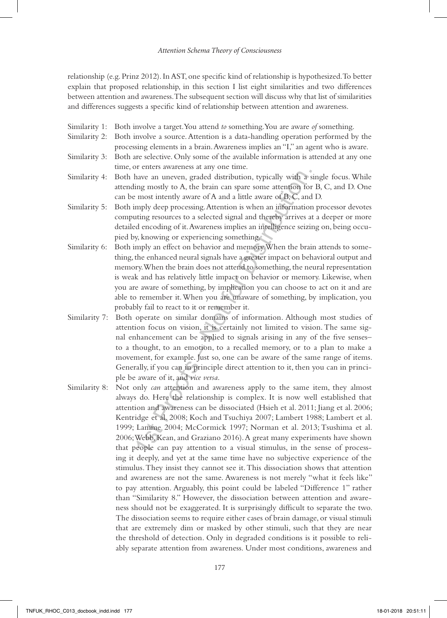relationship (e.g. Prinz 2012). In AST, one specific kind of relationship is hypothesized. To better explain that proposed relationship, in this section I list eight similarities and two differences between attention and awareness. The subsequent section will discuss why that list of similarities and differences suggests a specific kind of relationship between attention and awareness.

- Similarity 1: Both involve a target. You attend *to* something. You are aware *of* something.
- Similarity 2: Both involve a source. Attention is a data-handling operation performed by the processing elements in a brain. Awareness implies an "I," an agent who is aware.
- Similarity 3: Both are selective. Only some of the available information is attended at any one time, or enters awareness at any one time.
- Similarity 4: Both have an uneven, graded distribution, typically with a single focus. While attending mostly to A, the brain can spare some attention for B, C, and D. One can be most intently aware of A and a little aware of B, C, and D.
- Similarity 5: Both imply deep processing. Attention is when an information processor devotes computing resources to a selected signal and thereby arrives at a deeper or more detailed encoding of it. Awareness implies an intelligence seizing on, being occupied by, knowing or experiencing something.
- Similarity 6: Both imply an effect on behavior and memory. When the brain attends to something, the enhanced neural signals have a greater impact on behavioral output and memory. When the brain does not attend to something, the neural representation is weak and has relatively little impact on behavior or memory. Likewise, when you are aware of something, by implication you can choose to act on it and are able to remember it. When you are unaware of something, by implication, you probably fail to react to it or remember it.
- Similarity 7: Both operate on similar domains of information. Although most studies of attention focus on vision, it is certainly not limited to vision. The same signal enhancement can be applied to signals arising in any of the five senses– to a thought, to an emotion, to a recalled memory, or to a plan to make a movement, for example. Just so, one can be aware of the same range of items. Generally, if you can in principle direct attention to it, then you can in principle be aware of it, and *vice versa*.
- have an uneven, graded distribution, typically with a sing mostly to A, the brain can spare some attention for most intently aware of A and a little aware of B, C, and mply deep processing. Attention is when an information Similarity 8: Not only *can* attention and awareness apply to the same item, they almost always do. Here the relationship is complex. It is now well established that attention and awareness can be dissociated (Hsieh et al. 2011; Jiang et al. 2006; Kentridge et al. 2008; Koch and Tsuchiya 2007; Lambert 1988; Lambert et al. 1999; Lamme 2004; McCormick 1997; Norman et al. 2013; Tsushima et al. 2006; Webb, Kean, and Graziano 2016). A great many experiments have shown that people can pay attention to a visual stimulus, in the sense of processing it deeply, and yet at the same time have no subjective experience of the stimulus. They insist they cannot see it. This dissociation shows that attention and awareness are not the same. Awareness is not merely "what it feels like" to pay attention. Arguably, this point could be labeled "Difference 1" rather than "Similarity 8." However, the dissociation between attention and awareness should not be exaggerated. It is surprisingly difficult to separate the two. The dissociation seems to require either cases of brain damage, or visual stimuli that are extremely dim or masked by other stimuli, such that they are near the threshold of detection. Only in degraded conditions is it possible to reliably separate attention from awareness. Under most conditions, awareness and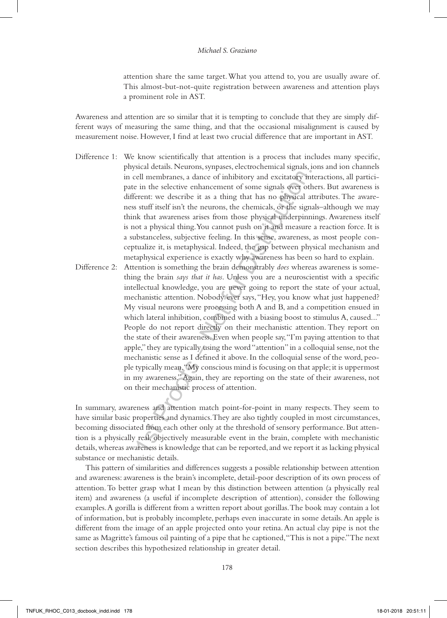attention share the same target. What you attend to, you are usually aware of. This almost-but-not-quite registration between awareness and attention plays a prominent role in AST.

Awareness and attention are so similar that it is tempting to conclude that they are simply different ways of measuring the same thing, and that the occasional misalignment is caused by measurement noise. However, I find at least two crucial difference that are important in AST.

- Difference 1: We know scientifically that attention is a process that includes many specific, physical details. Neurons, synpases, electrochemical signals, ions and ion channels in cell membranes, a dance of inhibitory and excitatory interactions, all participate in the selective enhancement of some signals over others. But awareness is different: we describe it as a thing that has no physical attributes. The awareness stuff itself isn't the neurons, the chemicals, or the signals–although we may think that awareness arises from those physical underpinnings. Awareness itself is not a physical thing. You cannot push on it and measure a reaction force. It is a substanceless, subjective feeling. In this sense, awareness, as most people conceptualize it, is metaphysical. Indeed, the gap between physical mechanism and metaphysical experience is exactly why awareness has been so hard to explain.
- rell membranes, a dance of inhibitory and excitatory in<br>e in the selective enhancement of some signals over otl<br>erent: we describe it as a thing that has no physical a<br>s stuff itself isn't the neurons, the chemicals, or th Difference 2: Attention is something the brain demonstrably *does* whereas awareness is something the brain *says that it has*. Unless you are a neuroscientist with a specific intellectual knowledge, you are never going to report the state of your actual, mechanistic attention. Nobody ever says, "Hey, you know what just happened? My visual neurons were processing both A and B, and a competition ensued in which lateral inhibition, combined with a biasing boost to stimulus A, caused..." People do not report directly on their mechanistic attention. They report on the state of their awareness. Even when people say, "I'm paying attention to that apple," they are typically using the word "attention" in a colloquial sense, not the mechanistic sense as I defined it above. In the colloquial sense of the word, people typically mean, "My conscious mind is focusing on that apple; it is uppermost in my awareness." Again, they are reporting on the state of their awareness, not on their mechanistic process of attention.

In summary, awareness and attention match point-for-point in many respects. They seem to have similar basic properties and dynamics. They are also tightly coupled in most circumstances, becoming dissociated from each other only at the threshold of sensory performance. But attention is a physically real, objectively measurable event in the brain, complete with mechanistic details, whereas awareness is knowledge that can be reported, and we report it as lacking physical substance or mechanistic details.

This pattern of similarities and differences suggests a possible relationship between attention and awareness: awareness is the brain's incomplete, detail-poor description of its own process of attention. To better grasp what I mean by this distinction between attention (a physically real item) and awareness (a useful if incomplete description of attention), consider the following examples. A gorilla is different from a written report about gorillas. The book may contain a lot of information, but is probably incomplete, perhaps even inaccurate in some details. An apple is different from the image of an apple projected onto your retina. An actual clay pipe is not the same as Magritte's famous oil painting of a pipe that he captioned, "This is not a pipe." The next section describes this hypothesized relationship in greater detail.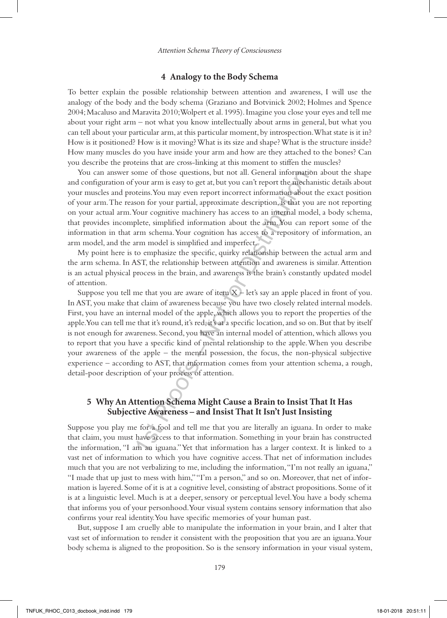## **4 Analogy to the Body Schema**

To better explain the possible relationship between attention and awareness, I will use the analogy of the body and the body schema (Graziano and Botvinick 2002; Holmes and Spence 2004; Macaluso and Maravita 2010; Wolpert et al. 1995). Imagine you close your eyes and tell me about your right arm – not what you know intellectually about arms in general, but what you can tell about your particular arm, at this particular moment, by introspection. What state is it in? How is it positioned? How is it moving? What is its size and shape? What is the structure inside? How many muscles do you have inside your arm and how are they attached to the bones? Can you describe the proteins that are cross-linking at this moment to stiffen the muscles?

You can answer some of those questions, but not all. General information about the shape and configuration of your arm is easy to get at, but you can't report the mechanistic details about your muscles and proteins. You may even report incorrect information about the exact position of your arm. The reason for your partial, approximate description, is that you are not reporting on your actual arm. Your cognitive machinery has access to an internal model, a body schema, that provides incomplete, simplified information about the arm. You can report some of the information in that arm schema. Your cognition has access to a repository of information, an arm model, and the arm model is simplified and imperfect.

My point here is to emphasize the specific, quirky relationship between the actual arm and the arm schema. In AST, the relationship between attention and awareness is similar. Attention is an actual physical process in the brain, and awareness is the brain's constantly updated model of attention.

ome of those questions, but not all. General informatiof<br>your arm is easy to get at, but you can't report the mecha<br>teins. You may even report incorrect information about<br>thes son for your partial, approximate description, Suppose you tell me that you are aware of item  $X$  – let's say an apple placed in front of you. In AST, you make that claim of awareness because you have two closely related internal models. First, you have an internal model of the apple, which allows you to report the properties of the apple. You can tell me that it's round, it's red, it's at a specific location, and so on. But that by itself is not enough for awareness. Second, you have an internal model of attention, which allows you to report that you have a specific kind of mental relationship to the apple. When you describe your awareness of the apple – the mental possession, the focus, the non-physical subjective experience – according to AST, that information comes from your attention schema, a rough, detail-poor description of your process of attention.

# **5 Why An Attention Schema Might Cause a Brain to Insist That It Has Subjective Awareness – and Insist That It Isn't Just Insisting**

Suppose you play me for a fool and tell me that you are literally an iguana. In order to make that claim, you must have access to that information. Something in your brain has constructed the information, "I am an iguana." Yet that information has a larger context. It is linked to a vast net of information to which you have cognitive access. That net of information includes much that you are not verbalizing to me, including the information, "I'm not really an iguana," "I made that up just to mess with him," "I'm a person," and so on. Moreover, that net of information is layered. Some of it is at a cognitive level, consisting of abstract propositions. Some of it is at a linguistic level. Much is at a deeper, sensory or perceptual level. You have a body schema that informs you of your personhood. Your visual system contains sensory information that also confirms your real identity. You have specific memories of your human past.

But, suppose I am cruelly able to manipulate the information in your brain, and I alter that vast set of information to render it consistent with the proposition that you are an iguana. Your body schema is aligned to the proposition. So is the sensory information in your visual system,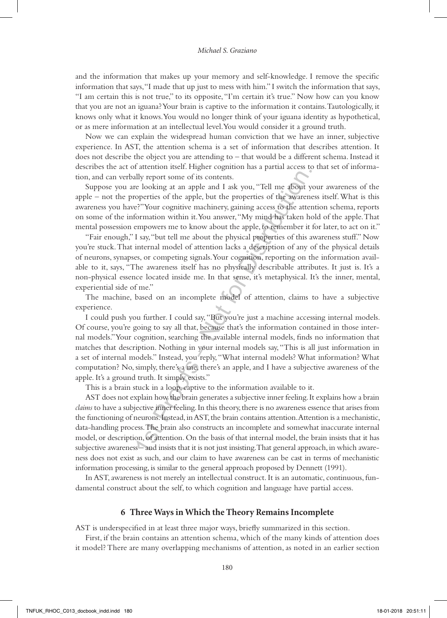and the information that makes up your memory and self-knowledge. I remove the specific information that says, "I made that up just to mess with him." I switch the information that says, "I am certain this is not true," to its opposite, "I'm certain it's true." Now how can you know that you are not an iguana? Your brain is captive to the information it contains. Tautologically, it knows only what it knows. You would no longer think of your iguana identity as hypothetical, or as mere information at an intellectual level. You would consider it a ground truth.

Now we can explain the widespread human conviction that we have an inner, subjective experience. In AST, the attention schema is a set of information that describes attention. It does not describe the object you are attending to – that would be a different schema. Instead it describes the act of attention itself. Higher cognition has a partial access to that set of information, and can verbally report some of its contents.

Suppose you are looking at an apple and I ask you, "Tell me about your awareness of the apple – not the properties of the apple, but the properties of the awareness itself. What is this awareness you have?" Your cognitive machinery, gaining access to the attention schema, reports on some of the information within it. You answer, "My mind has taken hold of the apple. That mental possession empowers me to know about the apple, to remember it for later, to act on it."

"Fair enough," I say, "but tell me about the physical properties of this awareness stuff." Now you're stuck. That internal model of attention lacks a description of any of the physical details of neurons, synapses, or competing signals. Your cognition, reporting on the information available to it, says, "The awareness itself has no physically describable attributes. It just is. It's a non-physical essence located inside me. In that sense, it's metaphysical. It's the inner, mental, experiential side of me."

The machine, based on an incomplete model of attention, claims to have a subjective experience.

ally report some of its contents.<br>
re looking at an apple and I ask you, "Tell me about y<br>
operties of the apple, but the properties of the awarene?"<br>
Your cognitive machinery, gaining access to the atter<br>
formation within I could push you further. I could say, "But you're just a machine accessing internal models. Of course, you're going to say all that, because that's the information contained in those internal models." Your cognition, searching the available internal models, finds no information that matches that description. Nothing in your internal models say, "This is all just information in a set of internal models." Instead, you reply, "What internal models? What information? What computation? No, simply, there's a me, there's an apple, and I have a subjective awareness of the apple. It's a ground truth. It simply exists."

This is a brain stuck in a loop, captive to the information available to it.

AST does not explain how the brain generates a subjective inner feeling. It explains how a brain *claims* to have a subjective inner feeling. In this theory, there is no awareness essence that arises from the functioning of neurons. Instead, in AST, the brain contains attention. Attention is a mechanistic, data-handling process. The brain also constructs an incomplete and somewhat inaccurate internal model, or description, of attention. On the basis of that internal model, the brain insists that it has subjective awareness – and insists that it is not just insisting. That general approach, in which awareness does not exist as such, and our claim to have awareness can be cast in terms of mechanistic information processing, is similar to the general approach proposed by Dennett (1991).

In AST, awareness is not merely an intellectual construct. It is an automatic, continuous, fundamental construct about the self, to which cognition and language have partial access.

### **6 Three Ways in Which the Theory Remains Incomplete**

AST is underspecified in at least three major ways, briefly summarized in this section.

First, if the brain contains an attention schema, which of the many kinds of attention does it model? There are many overlapping mechanisms of attention, as noted in an earlier section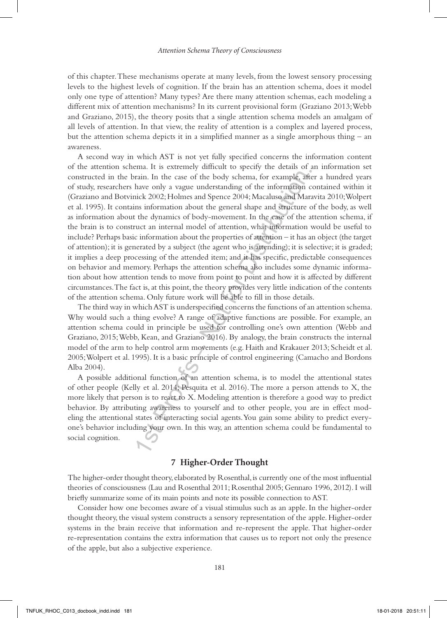#### *Attention Schema Theory of Consciousness*

of this chapter. These mechanisms operate at many levels, from the lowest sensory processing levels to the highest levels of cognition. If the brain has an attention schema, does it model only one type of attention? Many types? Are there many attention schemas, each modeling a different mix of attention mechanisms? In its current provisional form (Graziano 2013; Webb and Graziano, 2015), the theory posits that a single attention schema models an amalgam of all levels of attention. In that view, the reality of attention is a complex and layered process, but the attention schema depicts it in a simplified manner as a single amorphous thing – an awareness.

rain. In the case of the body schema, for example, at<br>have only a vague understanding of the information c<br>inck 2002; Holmes and Spence 2004; Macaluso and Mars<br>ins information about the general shape and structure c<br>the dy A second way in which AST is not yet fully specified concerns the information content of the attention schema. It is extremely difficult to specify the details of an information set constructed in the brain. In the case of the body schema, for example, after a hundred years of study, researchers have only a vague understanding of the information contained within it (Graziano and Botvinick 2002; Holmes and Spence 2004; Macaluso and Maravita 2010; Wolpert et al. 1995). It contains information about the general shape and structure of the body, as well as information about the dynamics of body-movement. In the case of the attention schema, if the brain is to construct an internal model of attention, what information would be useful to include? Perhaps basic information about the properties of attention – it has an object (the target of attention); it is generated by a subject (the agent who is attending); it is selective; it is graded; it implies a deep processing of the attended item; and it has specific, predictable consequences on behavior and memory. Perhaps the attention schema also includes some dynamic information about how attention tends to move from point to point and how it is affected by different circumstances. The fact is, at this point, the theory provides very little indication of the contents of the attention schema. Only future work will be able to fill in those details.

The third way in which AST is underspecified concerns the functions of an attention schema. Why would such a thing evolve? A range of adaptive functions are possible. For example, an attention schema could in principle be used for controlling one's own attention (Webb and Graziano, 2015; Webb, Kean, and Graziano 2016). By analogy, the brain constructs the internal model of the arm to help control arm movements (e.g. Haith and Krakauer 2013; Scheidt et al. 2005; Wolpert et al. 1995). It is a basic principle of control engineering (Camacho and Bordons Alba 2004).

A possible additional function of an attention schema, is to model the attentional states of other people (Kelly et al. 2014; Pesquita et al. 2016). The more a person attends to X, the more likely that person is to react to X. Modeling attention is therefore a good way to predict behavior. By attributing awareness to yourself and to other people, you are in effect modeling the attentional states of interacting social agents. You gain some ability to predict everyone's behavior including your own. In this way, an attention schema could be fundamental to social cognition.

## **7 Higher-Order Thought**

The higher-order thought theory, elaborated by Rosenthal, is currently one of the most influential theories of consciousness (Lau and Rosenthal 2011; Rosenthal 2005; Gennaro 1996, 2012). I will briefly summarize some of its main points and note its possible connection to AST.

Consider how one becomes aware of a visual stimulus such as an apple. In the higher-order thought theory, the visual system constructs a sensory representation of the apple. Higher-order systems in the brain receive that information and re-represent the apple. That higher-order re-representation contains the extra information that causes us to report not only the presence of the apple, but also a subjective experience.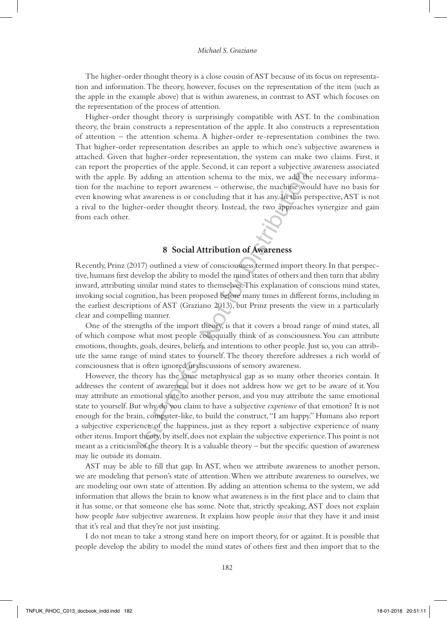The higher-order thought theory is a close cousin of AST because of its focus on representation and information. The theory, however, focuses on the representation of the item (such as the apple in the example above) that is within awareness, in contrast to AST which focuses on the representation of the process of attention.

Higher-order thought theory is surprisingly compatible with AST. In the combination theory, the brain constructs a representation of the apple. It also constructs a representation of attention – the attention schema. A higher-order re-representation combines the two. That higher-order representation describes an apple to which one's subjective awareness is attached. Given that higher-order representation, the system can make two claims. First, it can report the properties of the apple. Second, it can report a subjective awareness associated with the apple. By adding an attention schema to the mix, we add the necessary information for the machine to report awareness – otherwise, the machine would have no basis for even knowing what awareness is or concluding that it has any. In this perspective, AST is not a rival to the higher-order thought theory. Instead, the two approaches synergize and gain from each other.

# **8 Social Attribution of Awareness**

Recently, Prinz (2017) outlined a view of consciousness termed import theory. In that perspective, humans first develop the ability to model the mind states of others and then turn that ability inward, attributing similar mind states to themselves. This explanation of conscious mind states, invoking social cognition, has been proposed before many times in different forms, including in the earliest descriptions of AST (Graziano 2013), but Prinz presents the view in a particularly clear and compelling manner.

One of the strengths of the import theory, is that it covers a broad range of mind states, all of which compose what most people colloquially think of as consciousness. You can attribute emotions, thoughts, goals, desires, beliefs, and intentions to other people. Just so, you can attribute the same range of mind states to yourself. The theory therefore addresses a rich world of consciousness that is often ignored in discussions of sensory awareness.

Transmission and the mix, we add the mix and the mix and the ine to report awareness – otherwise, the machine wouter at awareness is or concluding that it has any in this per-order thought theory. Instead, the two approach However, the theory has the same metaphysical gap as so many other theories contain. It addresses the content of awareness, but it does not address how we get to be aware of it. You may attribute an emotional state to another person, and you may attribute the same emotional state to yourself. But why do you claim to have a subjective *experience* of that emotion? It is not enough for the brain, computer-like, to build the construct, "I am happy." Humans also report a subjective experience of the happiness, just as they report a subjective experience of many other items. Import theory, by itself, does not explain the subjective experience. This point is not meant as a criticism of the theory. It is a valuable theory – but the specific question of awareness may lie outside its domain.

AST may be able to fill that gap. In AST, when we attribute awareness to another person, we are modeling that person's state of attention. When we attribute awareness to ourselves, we are modeling our own state of attention. By adding an attention schema to the system, we add information that allows the brain to know what awareness is in the first place and to claim that it has some, or that someone else has some. Note that, strictly speaking, AST does not explain how people *have* subjective awareness. It explains how people *insist* that they have it and insist that it's real and that they're not just insisting.

I do not mean to take a strong stand here on import theory, for or against. It is possible that people develop the ability to model the mind states of others first and then import that to the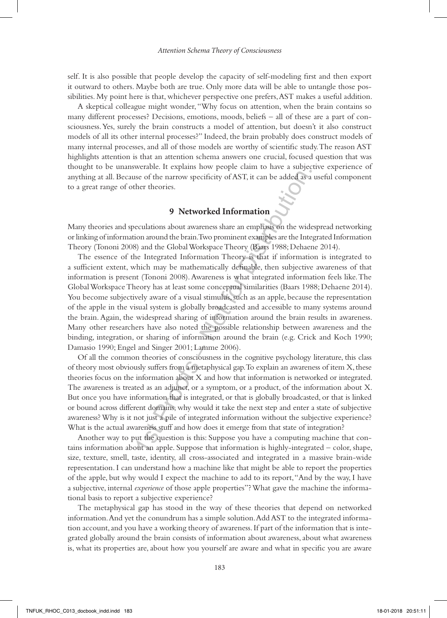#### *Attention Schema Theory of Consciousness*

self. It is also possible that people develop the capacity of self-modeling first and then export it outward to others. Maybe both are true. Only more data will be able to untangle those possibilities. My point here is that, whichever perspective one prefers, AST makes a useful addition.

A skeptical colleague might wonder, "Why focus on attention, when the brain contains so many different processes? Decisions, emotions, moods, beliefs – all of these are a part of consciousness. Yes, surely the brain constructs a model of attention, but doesn't it also construct models of all its other internal processes?" Indeed, the brain probably does construct models of many internal processes, and all of those models are worthy of scientific study. The reason AST highlights attention is that an attention schema answers one crucial, focused question that was thought to be unanswerable. It explains how people claim to have a subjective experience of anything at all. Because of the narrow specificity of AST, it can be added as a useful component to a great range of other theories.

# **9 Networked Information**

Many theories and speculations about awareness share an emphasis on the widespread networking or linking of information around the brain. Two prominent examples are the Integrated Information Theory (Tononi 2008) and the Global Workspace Theory (Baars 1988; Dehaene 2014).

18 Section and the verificity of AST, it can be added as therefore the action about awareness share an emphasis on the wide of and the Global Workspace Theory (Baars 1988; Dehaer the Integrated Information Theory is that i The essence of the Integrated Information Theory is that if information is integrated to a sufficient extent, which may be mathematically definable, then subjective awareness of that information is present (Tononi 2008). Awareness is what integrated information feels like. The Global Workspace Theory has at least some conceptual similarities (Baars 1988; Dehaene 2014). You become subjectively aware of a visual stimulus, such as an apple, because the representation of the apple in the visual system is globally broadcasted and accessible to many systems around the brain. Again, the widespread sharing of information around the brain results in awareness. Many other researchers have also noted the possible relationship between awareness and the binding, integration, or sharing of information around the brain (e.g. Crick and Koch 1990; Damasio 1990; Engel and Singer 2001; Lamme 2006).

Of all the common theories of consciousness in the cognitive psychology literature, this class of theory most obviously suffers from a metaphysical gap. To explain an awareness of item X, these theories focus on the information about X and how that information is networked or integrated. The awareness is treated as an adjunct, or a symptom, or a product, of the information about X. But once you have information that is integrated, or that is globally broadcasted, or that is linked or bound across different domains, why would it take the next step and enter a state of subjective awareness? Why is it not just a pile of integrated information without the subjective experience? What is the actual awareness stuff and how does it emerge from that state of integration?

Another way to put the question is this: Suppose you have a computing machine that contains information about an apple. Suppose that information is highly-integrated – color, shape, size, texture, smell, taste, identity, all cross-associated and integrated in a massive brain-wide representation. I can understand how a machine like that might be able to report the properties of the apple, but why would I expect the machine to add to its report, "And by the way, I have a subjective, internal *experience* of those apple properties"? What gave the machine the informational basis to report a subjective experience?

The metaphysical gap has stood in the way of these theories that depend on networked information. And yet the conundrum has a simple solution. Add AST to the integrated information account, and you have a working theory of awareness. If part of the information that is integrated globally around the brain consists of information about awareness, about what awareness is, what its properties are, about how you yourself are aware and what in specific you are aware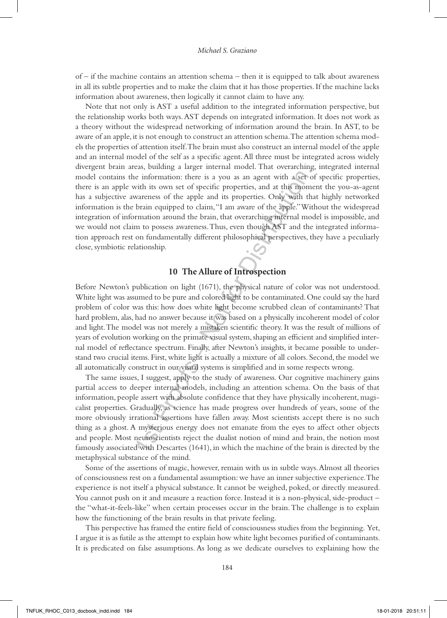of – if the machine contains an attention schema – then it is equipped to talk about awareness in all its subtle properties and to make the claim that it has those properties. If the machine lacks information about awareness, then logically it cannot claim to have any.

Note that not only is AST a useful addition to the integrated information perspective, but the relationship works both ways. AST depends on integrated information. It does not work as a theory without the widespread networking of information around the brain. In AST, to be aware of an apple, it is not enough to construct an attention schema. The attention schema models the properties of attention itself. The brain must also construct an internal model of the apple and an internal model of the self as a specific agent. All three must be integrated across widely divergent brain areas, building a larger internal model. That overarching, integrated internal model contains the information: there is a you as an agent with a set of specific properties, there is an apple with its own set of specific properties, and at this moment the you-as-agent has a subjective awareness of the apple and its properties. Only with that highly networked information is the brain equipped to claim, "I am aware of the apple." Without the widespread integration of information around the brain, that overarching internal model is impossible, and we would not claim to possess awareness. Thus, even though AST and the integrated information approach rest on fundamentally different philosophical perspectives, they have a peculiarly close, symbiotic relationship.

# **10 The Allure of Introspection**

is e information: there is a you as an agent with a set of<br>with its own set of specific properties, and at this mom<br>wareness of the apple and its properties. Only with th<br>brain equipped to claim, "I am aware of the apple." Before Newton's publication on light (1671), the physical nature of color was not understood. White light was assumed to be pure and colored light to be contaminated. One could say the hard problem of color was this: how does white light become scrubbed clean of contaminants? That hard problem, alas, had no answer because it was based on a physically incoherent model of color and light. The model was not merely a mistaken scientific theory. It was the result of millions of years of evolution working on the primate visual system, shaping an efficient and simplified internal model of reflectance spectrum. Finally, after Newton's insights, it became possible to understand two crucial items. First, white light is actually a mixture of all colors. Second, the model we all automatically construct in our visual systems is simplified and in some respects wrong.

The same issues, I suggest, apply to the study of awareness. Our cognitive machinery gains partial access to deeper internal models, including an attention schema. On the basis of that information, people assert with absolute confidence that they have physically incoherent, magicalist properties. Gradually, as science has made progress over hundreds of years, some of the more obviously irrational assertions have fallen away. Most scientists accept there is no such thing as a ghost. A mysterious energy does not emanate from the eyes to affect other objects and people. Most neuroscientists reject the dualist notion of mind and brain, the notion most famously associated with Descartes (1641), in which the machine of the brain is directed by the metaphysical substance of the mind.

Some of the assertions of magic, however, remain with us in subtle ways. Almost all theories of consciousness rest on a fundamental assumption: we have an inner subjective experience. The experience is not itself a physical substance. It cannot be weighed, poked, or directly measured. You cannot push on it and measure a reaction force. Instead it is a non-physical, side-product – the "what-it-feels-like" when certain processes occur in the brain. The challenge is to explain how the functioning of the brain results in that private feeling.

This perspective has framed the entire field of consciousness studies from the beginning. Yet, I argue it is as futile as the attempt to explain how white light becomes purified of contaminants. It is predicated on false assumptions. As long as we dedicate ourselves to explaining how the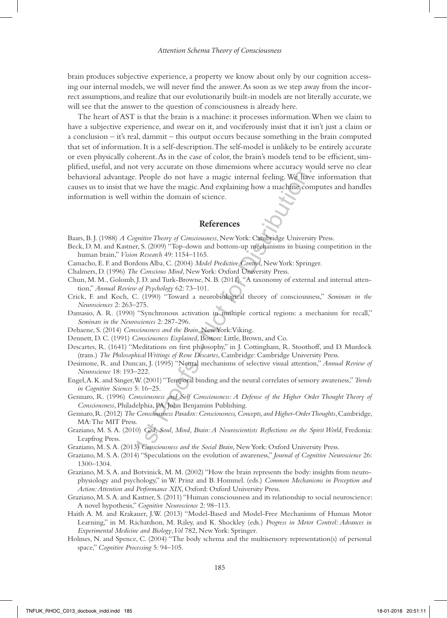brain produces subjective experience, a property we know about only by our cognition accessing our internal models, we will never find the answer. As soon as we step away from the incorrect assumptions, and realize that our evolutionarily built-in models are not literally accurate, we will see that the answer to the question of consciousness is already here.

1. People do not have a magic internal feeling. We have<br>twe have the magic. And explaining how a machine cordinative Theory of Consciousness, New York: Cambridge University.<br>F. S. (2009) "Top-down and bottom-up mechanisms The heart of AST is that the brain is a machine: it processes information. When we claim to have a subjective experience, and swear on it, and vociferously insist that it isn't just a claim or a conclusion – it's real, dammit – this output occurs because something in the brain computed that set of information. It is a self-description. The self-model is unlikely to be entirely accurate or even physically coherent. As in the case of color, the brain's models tend to be efficient, simplified, useful, and not very accurate on those dimensions where accuracy would serve no clear behavioral advantage. People do not have a magic internal feeling. We have information that causes us to insist that we have the magic. And explaining how a machine computes and handles information is well within the domain of science.

# **References**

Baars, B. J. (1988) *A Cognitive Theory of Consciousness*, New York: Cambridge University Press.

- Beck, D. M. and Kastner, S. (2009) "Top-down and bottom-up mechanisms in biasing competition in the human brain," *Vision Research* 49: 1154–1165.
- Camacho, E. F. and Bordons Alba, C. (2004) *Model Predictive Control*, New York: Springer.
- Chalmers, D. (1996) *The Conscious Mind*, New York: Oxford University Press.
- Chun, M. M., Golomb, J. D. and Turk-Browne, N. B. (2011). "A taxonomy of external and internal attention," *Annual Review of Psychology* 62: 73–101.
- Crick, F. and Koch, C. (1990) "Toward a neurobiological theory of consciousness," *Seminars in the Neurosciences* 2: 263–275.
- Damasio, A. R. (1990) "Synchronous activation in multiple cortical regions: a mechanism for recall," *Seminars in the Neurosciences* 2: 287-296.

Dehaene, S. (2014) *Consciousness and the Brain*, New York: Viking.

- Dennett, D. C. (1991) *Consciousness Explained*, Boston: Little, Brown, and Co.
- Descartes, R. (1641) "Meditations on first philosophy," in J. Cottingham, R. Stoothoff, and D. Murdock (trans.) *The Philosophical Writings of Rene Descartes*, Cambridge: Cambridge University Press.
- Desimone, R. and Duncan, J. (1995) "Neural mechanisms of selective visual attention," *Annual Review of Neuroscience* 18: 193–222.
- Engel, A. K. and Singer, W. (2001) "Temporal binding and the neural correlates of sensory awareness," *Trends in Cognitive Sciences* 5: 16–25.
- Gennaro, R. (1996) *Consciousness and Self Consciousness: A Defense of the Higher Order Thought Theory of Consciousness*, Philadelphia, PA: John Benjamins Publishing.
- Gennaro, R. (2012) *The Consciousness Paradox: Consciousness, Concepts, and Higher-Order Thoughts*, Cambridge, MA: The MIT Press.
- Graziano, M. S. A. (2010) *God, Soul, Mind, Brain: A Neuroscientists Reflections on the Spirit World*, Fredonia: Leapfrog Press.
- Graziano, M. S. A. (2013) *Consciousness and the Social Brain*, New York: Oxford University Press.
- Graziano, M. S. A. (2014) "Speculations on the evolution of awareness," *Journal of Cognitive Neuroscience* 26: 1300–1304.
- Graziano, M. S. A. and Botvinick, M. M. (2002) "How the brain represents the body: insights from neurophysiology and psychology," in W. Prinz and B. Hommel. (eds.) *Common Mechanisms in Perception and Action: Attention and Performance XIX*, Oxford: Oxford University Press.
- Graziano, M. S. A. and Kastner, S. (2011) "Human consciousness and its relationship to social neuroscience: A novel hypothesis," *Cognitive Neuroscience* 2: 98–113.
- Haith A. M. and Krakauer, J.W. (2013) "Model-Based and Model-Free Mechanisms of Human Motor Learning," in M. Richardson, M. Riley, and K. Shockley (eds.) *Progress in Motor Control: Advances in Experimental Medicine and Biology, Vol* 782, New York: Springer.
- Holmes, N. and Spence, C. (2004) "The body schema and the multisensory representation(s) of personal space," *Cognitive Processing* 5: 94–105.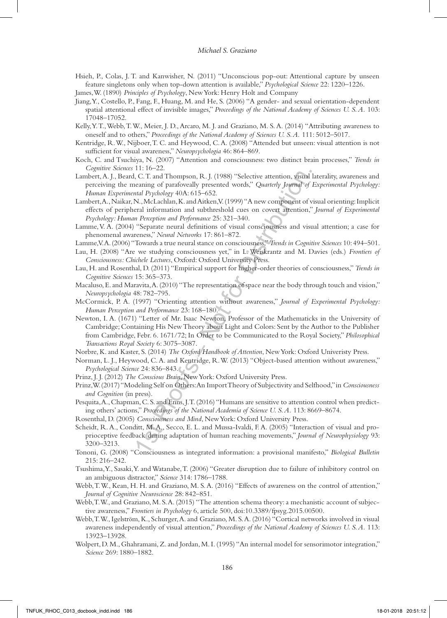Hsieh, P., Colas, J. T. and Kanwisher, N. (2011) "Unconscious pop-out: Attentional capture by unseen feature singletons only when top-down attention is available," *Psychological Science* 22: 1220–1226. James, W. (1890) *Principles of Psychology*, New York: Henry Holt and Company

Jiang, Y., Costello, P., Fang, F., Huang, M. and He, S. (2006) "A gender- and sexual orientation-dependent spatial attentional effect of invisible images," *Proceedings of the National Academy of Sciences U. S. A.* 103: 17048–17052.

Kelly, Y. T., Webb, T. W., Meier, J. D., Arcaro, M. J. and Graziano, M. S. A. (2014) "Attributing awareness to oneself and to others," *Proceedings of the National Academy of Sciences U. S. A.* 111: 5012–5017.

Kentridge, R. W., Nijboer, T. C. and Heywood, C. A. (2008) "Attended but unseen: visual attention is not sufficient for visual awareness," *Neuropsychologia* 46: 864–869.

Koch, C. and Tsuchiya, N. (2007) "Attention and consciousness: two distinct brain processes," *Trends in Cognitive Sciences* 11: 16–22.

Lambert, A. J., Beard, C. T. and Thompson, R. J. (1988) "Selective attention, visual laterality, awareness and perceiving the meaning of parafoveally presented words," *Quarterly Journal of Experimental Psychology: Human Experimental Psychology* 40A: 615–652.

Lambert, A., Naikar, N., McLachlan, K. and Aitken, V. (1999) "A new component of visual orienting: Implicit effects of peripheral information and subthreshold cues on covert attention," *Journal of Experimental Psychology: Human Perception and Performance* 25: 321–340.

Lamme, V. A. (2004) "Separate neural definitions of visual consciousness and visual attention; a case for phenomenal awareness," *Neural Networks* 17: 861–872.

Lamme, V. A. (2006) "Towards a true neural stance on consciousness," *Trends in Cognitive Sciences* 10: 494–501.

Lau, H. (2008) "Are we studying consciousness yet," in L. Weiskrantz and M. Davies (eds.) *Frontiers of Consciousness: Chichele Lectures*, Oxford: Oxford University Press.

Lau, H. and Rosenthal, D. (2011) "Empirical support for higher-order theories of consciousness," *Trends in Cognitive Sciences* 15: 365–373.

Macaluso, E. and Maravita, A. (2010) "The representation of space near the body through touch and vision," *Neuropsychologia* 48: 782–795.

McCormick, P. A. (1997) "Orienting attention without awareness," *Journal of Experimental Psychology: Human Perception and Performance* 23: 168–180.

, C.T. and Thompson, R. J. (1988) "Selective attention, visual earning of parafoveally presented words," Quarterly Journal of  $M$ , McLachlan, K. and Airkken, V. (1999) "A new component of N., McLachlan, K. and Airkken, V. Newton, I. A. (1671) "Letter of Mr. Isaac Newton, Professor of the Mathematicks in the University of Cambridge; Containing His New Theory about Light and Colors: Sent by the Author to the Publisher from Cambridge, Febr. 6. 1671/72; In Order to be Communicated to the Royal Society," *Philosophical Transactions Royal Society* 6: 3075–3087.

Norbre, K. and Kaster, S. (2014) *The Oxford Handbook of Attention*, New York: Oxford Univeristy Press.

Norman, L. J., Heywood, C. A. and Kentridge, R. W. (2013) "Object-based attention without awareness," *Psychological Science* 24: 836–843.

Prinz, J. J. (2012) *The Conscious Brain*, New York: Oxford University Press.

Prinz, W. (2017) "Modeling Self on Others: An Import Theory of Subjectivity and Selfhood," in *Consciousness and Cognition* (in press).

Pesquita, A., Chapman, C. S. and Enns, J. T. (2016) "Humans are sensitive to attention control when predicting others' actions," *Proceedings of the National Academia of Science U. S. A.* 113: 8669–8674.

Rosenthal, D. (2005) *Consciousness and Mind*, New York: Oxford University Press.

Scheidt, R. A., Conditt, M. A., Secco, E. L. and Mussa-Ivaldi, F. A. (2005) "Interaction of visual and proprioceptive feedback during adaptation of human reaching movements," *Journal of Neurophysiology* 93: 3200–3213.

Tononi, G. (2008) "Consciousness as integrated information: a provisional manifesto," *Biological Bulletin* 215: 216–242.

Tsushima, Y., Sasaki, Y. and Watanabe, T. (2006) "Greater disruption due to failure of inhibitory control on an ambiguous distractor," *Science* 314: 1786–1788.

Webb, T. W., Kean, H. H. and Graziano, M. S. A. (2016) "Effects of awareness on the control of attention," *Journal of Cognitive Neuroscience* 28: 842–851.

Webb, T. W., and Graziano, M. S. A. (2015) "The attention schema theory: a mechanistic account of subjective awareness," *Frontiers in Psychology* 6, article 500, doi:10.3389/fpsyg.2015.00500.

Webb, T. W., Igelström, K., Schurger, A. and Graziano, M. S. A. (2016) "Cortical networks involved in visual awareness independently of visual attention," *Proceedings of the National Academy of Sciences U. S. A.* 113: 13923–13928.

Wolpert, D. M., Ghahramani, Z. and Jordan, M. I. (1995) "An internal model for sensorimotor integration," *Science* 269: 1880–1882.